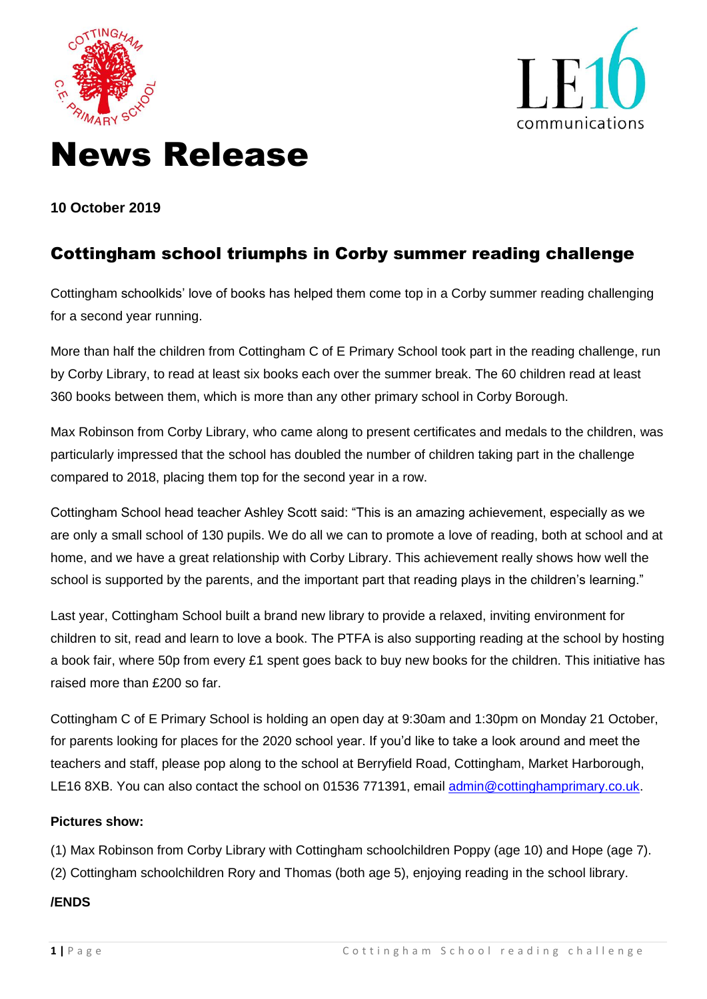



# News Release

**10 October 2019**

## Cottingham school triumphs in Corby summer reading challenge

Cottingham schoolkids' love of books has helped them come top in a Corby summer reading challenging for a second year running.

More than half the children from Cottingham C of E Primary School took part in the reading challenge, run by Corby Library, to read at least six books each over the summer break. The 60 children read at least 360 books between them, which is more than any other primary school in Corby Borough.

Max Robinson from Corby Library, who came along to present certificates and medals to the children, was particularly impressed that the school has doubled the number of children taking part in the challenge compared to 2018, placing them top for the second year in a row.

Cottingham School head teacher Ashley Scott said: "This is an amazing achievement, especially as we are only a small school of 130 pupils. We do all we can to promote a love of reading, both at school and at home, and we have a great relationship with Corby Library. This achievement really shows how well the school is supported by the parents, and the important part that reading plays in the children's learning."

Last year, Cottingham School built a brand new library to provide a relaxed, inviting environment for children to sit, read and learn to love a book. The PTFA is also supporting reading at the school by hosting a book fair, where 50p from every £1 spent goes back to buy new books for the children. This initiative has raised more than £200 so far.

Cottingham C of E Primary School is holding an open day at 9:30am and 1:30pm on Monday 21 October, for parents looking for places for the 2020 school year. If you'd like to take a look around and meet the teachers and staff, please pop along to the school at Berryfield Road, Cottingham, Market Harborough, LE16 8XB. You can also contact the school on 01536 771391, email [admin@cottinghamprimary.co.uk.](mailto:admin@cottinghamprimary.co.uk)

#### **Pictures show:**

(1) Max Robinson from Corby Library with Cottingham schoolchildren Poppy (age 10) and Hope (age 7). (2) Cottingham schoolchildren Rory and Thomas (both age 5), enjoying reading in the school library.

### **/ENDS**